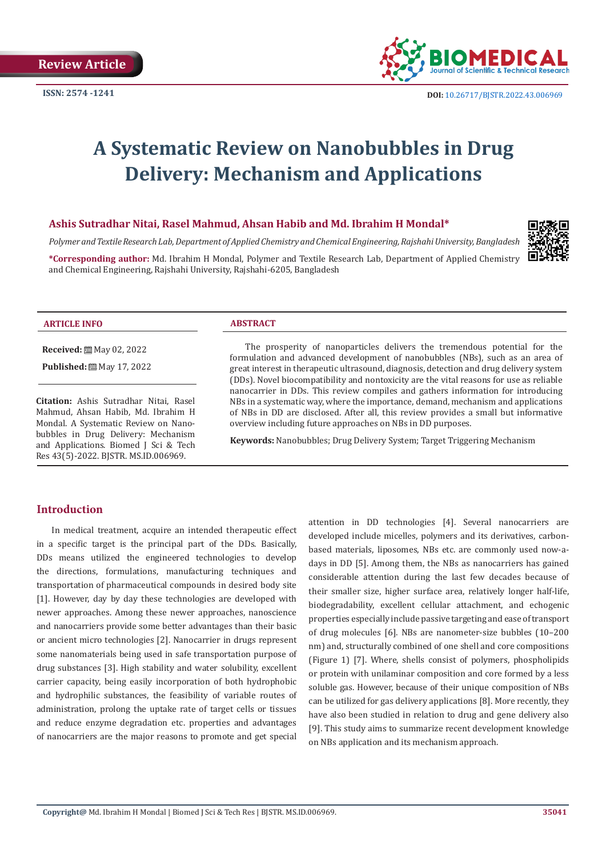

# **A Systematic Review on Nanobubbles in Drug Delivery: Mechanism and Applications**

# **Ashis Sutradhar Nitai, Rasel Mahmud, Ahsan Habib and Md. Ibrahim H Mondal\***

*Polymer and Textile Research Lab, Department of Applied Chemistry and Chemical Engineering, Rajshahi University, Bangladesh*

**\*Corresponding author:** Md. Ibrahim H Mondal, Polymer and Textile Research Lab, Department of Applied Chemistry and Chemical Engineering, Rajshahi University, Rajshahi-6205, Bangladesh



#### **ARTICLE INFO ABSTRACT**

**Received:** May 02, 2022

**Published:** ■ May 17, 2022

**Citation:** Ashis Sutradhar Nitai, Rasel Mahmud, Ahsan Habib, Md. Ibrahim H Mondal. A Systematic Review on Nanobubbles in Drug Delivery: Mechanism and Applications. Biomed J Sci & Tech Res 43(5)-2022. BJSTR. MS.ID.006969.

The prosperity of nanoparticles delivers the tremendous potential for the formulation and advanced development of nanobubbles (NBs), such as an area of great interest in therapeutic ultrasound, diagnosis, detection and drug delivery system (DDs). Novel biocompatibility and nontoxicity are the vital reasons for use as reliable nanocarrier in DDs. This review compiles and gathers information for introducing NBs in a systematic way, where the importance, demand, mechanism and applications of NBs in DD are disclosed. After all, this review provides a small but informative overview including future approaches on NBs in DD purposes.

**Keywords:** Nanobubbles; Drug Delivery System; Target Triggering Mechanism

# **Introduction**

In medical treatment, acquire an intended therapeutic effect in a specific target is the principal part of the DDs. Basically, DDs means utilized the engineered technologies to develop the directions, formulations, manufacturing techniques and transportation of pharmaceutical compounds in desired body site [1]. However, day by day these technologies are developed with newer approaches. Among these newer approaches, nanoscience and nanocarriers provide some better advantages than their basic or ancient micro technologies [2]. Nanocarrier in drugs represent some nanomaterials being used in safe transportation purpose of drug substances [3]. High stability and water solubility, excellent carrier capacity, being easily incorporation of both hydrophobic and hydrophilic substances, the feasibility of variable routes of administration, prolong the uptake rate of target cells or tissues and reduce enzyme degradation etc. properties and advantages of nanocarriers are the major reasons to promote and get special

attention in DD technologies [4]. Several nanocarriers are developed include micelles, polymers and its derivatives, carbonbased materials, liposomes, NBs etc. are commonly used now-adays in DD [5]. Among them, the NBs as nanocarriers has gained considerable attention during the last few decades because of their smaller size, higher surface area, relatively longer half-life, biodegradability, excellent cellular attachment, and echogenic properties especially include passive targeting and ease of transport of drug molecules [6]. NBs are nanometer-size bubbles (10–200 nm) and, structurally combined of one shell and core compositions (Figure 1) [7]. Where, shells consist of polymers, phospholipids or protein with unilaminar composition and core formed by a less soluble gas. However, because of their unique composition of NBs can be utilized for gas delivery applications [8]. More recently, they have also been studied in relation to drug and gene delivery also [9]. This study aims to summarize recent development knowledge on NBs application and its mechanism approach.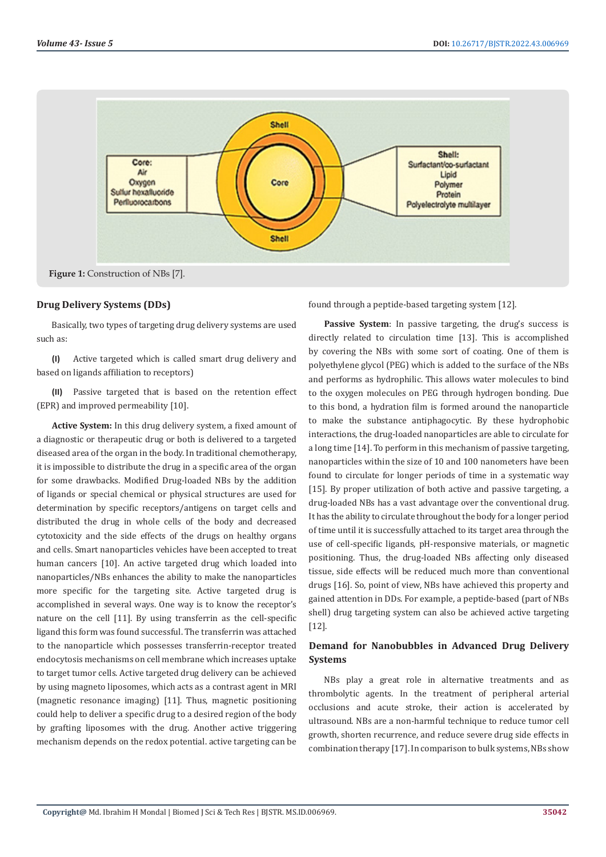

#### **Drug Delivery Systems (DDs)**

Basically, two types of targeting drug delivery systems are used such as:

**(I)** Active targeted which is called smart drug delivery and based on ligands affiliation to receptors)

**(II)** Passive targeted that is based on the retention effect (EPR) and improved permeability [10].

**Active System:** In this drug delivery system, a fixed amount of a diagnostic or therapeutic drug or both is delivered to a targeted diseased area of the organ in the body. In traditional chemotherapy, it is impossible to distribute the drug in a specific area of the organ for some drawbacks. Modified Drug-loaded NBs by the addition of ligands or special chemical or physical structures are used for determination by specific receptors/antigens on target cells and distributed the drug in whole cells of the body and decreased cytotoxicity and the side effects of the drugs on healthy organs and cells. Smart nanoparticles vehicles have been accepted to treat human cancers [10]. An active targeted drug which loaded into nanoparticles/NBs enhances the ability to make the nanoparticles more specific for the targeting site. Active targeted drug is accomplished in several ways. One way is to know the receptor's nature on the cell [11]. By using transferrin as the cell-specific ligand this form was found successful. The transferrin was attached to the nanoparticle which possesses transferrin-receptor treated endocytosis mechanisms on cell membrane which increases uptake to target tumor cells. Active targeted drug delivery can be achieved by using magneto liposomes, which acts as a contrast agent in MRI (magnetic resonance imaging) [11]. Thus, magnetic positioning could help to deliver a specific drug to a desired region of the body by grafting liposomes with the drug. Another active triggering mechanism depends on the redox potential. active targeting can be

found through a peptide-based targeting system [12].

Passive System: In passive targeting, the drug's success is directly related to circulation time [13]. This is accomplished by covering the NBs with some sort of coating. One of them is polyethylene glycol (PEG) which is added to the surface of the NBs and performs as hydrophilic. This allows water molecules to bind to the oxygen molecules on PEG through hydrogen bonding. Due to this bond, a hydration film is formed around the nanoparticle to make the substance antiphagocytic. By these hydrophobic interactions, the drug-loaded nanoparticles are able to circulate for a long time [14]. To perform in this mechanism of passive targeting, nanoparticles within the size of 10 and 100 nanometers have been found to circulate for longer periods of time in a systematic way [15]. By proper utilization of both active and passive targeting, a drug-loaded NBs has a vast advantage over the conventional drug. It has the ability to circulate throughout the body for a longer period of time until it is successfully attached to its target area through the use of cell-specific ligands, pH-responsive materials, or magnetic positioning. Thus, the drug-loaded NBs affecting only diseased tissue, side effects will be reduced much more than conventional drugs [16]. So, point of view, NBs have achieved this property and gained attention in DDs. For example, a peptide-based (part of NBs shell) drug targeting system can also be achieved active targeting [12].

# **Demand for Nanobubbles in Advanced Drug Delivery Systems**

NBs play a great role in alternative treatments and as thrombolytic agents. In the treatment of peripheral arterial occlusions and acute stroke, their action is accelerated by ultrasound. NBs are a non-harmful technique to reduce tumor cell growth, shorten recurrence, and reduce severe drug side effects in combination therapy [17]. In comparison to bulk systems, NBs show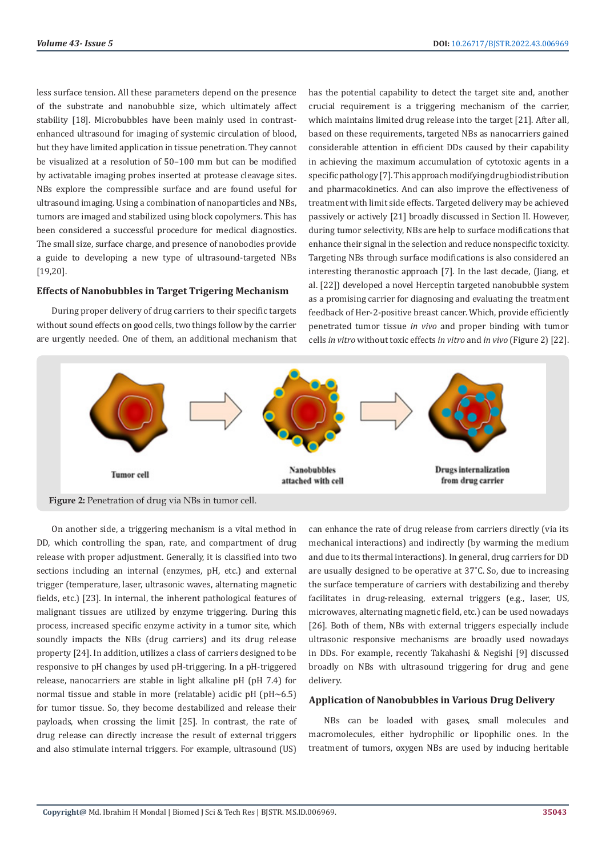less surface tension. All these parameters depend on the presence of the substrate and nanobubble size, which ultimately affect stability [18]. Microbubbles have been mainly used in contrastenhanced ultrasound for imaging of systemic circulation of blood, but they have limited application in tissue penetration. They cannot be visualized at a resolution of 50–100 mm but can be modified by activatable imaging probes inserted at protease cleavage sites. NBs explore the compressible surface and are found useful for ultrasound imaging. Using a combination of nanoparticles and NBs, tumors are imaged and stabilized using block copolymers. This has been considered a successful procedure for medical diagnostics. The small size, surface charge, and presence of nanobodies provide a guide to developing a new type of ultrasound-targeted NBs [19,20].

#### **Effects of Nanobubbles in Target Trigering Mechanism**

During proper delivery of drug carriers to their specific targets without sound effects on good cells, two things follow by the carrier are urgently needed. One of them, an additional mechanism that

has the potential capability to detect the target site and, another crucial requirement is a triggering mechanism of the carrier, which maintains limited drug release into the target [21]. After all, based on these requirements, targeted NBs as nanocarriers gained considerable attention in efficient DDs caused by their capability in achieving the maximum accumulation of cytotoxic agents in a specific pathology [7]. This approach modifying drug biodistribution and pharmacokinetics. And can also improve the effectiveness of treatment with limit side effects. Targeted delivery may be achieved passively or actively [21] broadly discussed in Section II. However, during tumor selectivity, NBs are help to surface modifications that enhance their signal in the selection and reduce nonspecific toxicity. Targeting NBs through surface modifications is also considered an interesting theranostic approach [7]. In the last decade, (Jiang, et al. [22]) developed a novel Herceptin targeted nanobubble system as a promising carrier for diagnosing and evaluating the treatment feedback of Her-2-positive breast cancer. Which, provide efficiently penetrated tumor tissue *in vivo* and proper binding with tumor cells *in vitro* without toxic effects *in vitro* and *in vivo* (Figure 2) [22].



On another side, a triggering mechanism is a vital method in DD, which controlling the span, rate, and compartment of drug release with proper adjustment. Generally, it is classified into two sections including an internal (enzymes, pH, etc.) and external trigger (temperature, laser, ultrasonic waves, alternating magnetic fields, etc.) [23]. In internal, the inherent pathological features of malignant tissues are utilized by enzyme triggering. During this process, increased specific enzyme activity in a tumor site, which soundly impacts the NBs (drug carriers) and its drug release property [24]. In addition, utilizes a class of carriers designed to be responsive to pH changes by used pH-triggering. In a pH-triggered release, nanocarriers are stable in light alkaline pH (pH 7.4) for normal tissue and stable in more (relatable) acidic pH (pH~6.5) for tumor tissue. So, they become destabilized and release their payloads, when crossing the limit [25]. In contrast, the rate of drug release can directly increase the result of external triggers and also stimulate internal triggers. For example, ultrasound (US)

can enhance the rate of drug release from carriers directly (via its mechanical interactions) and indirectly (by warming the medium and due to its thermal interactions). In general, drug carriers for DD are usually designed to be operative at 37˚C. So, due to increasing the surface temperature of carriers with destabilizing and thereby facilitates in drug-releasing, external triggers (e.g., laser, US, microwaves, alternating magnetic field, etc.) can be used nowadays [26]. Both of them, NBs with external triggers especially include ultrasonic responsive mechanisms are broadly used nowadays in DDs. For example, recently Takahashi & Negishi [9] discussed broadly on NBs with ultrasound triggering for drug and gene delivery.

# **Application of Nanobubbles in Various Drug Delivery**

NBs can be loaded with gases, small molecules and macromolecules, either hydrophilic or lipophilic ones. In the treatment of tumors, oxygen NBs are used by inducing heritable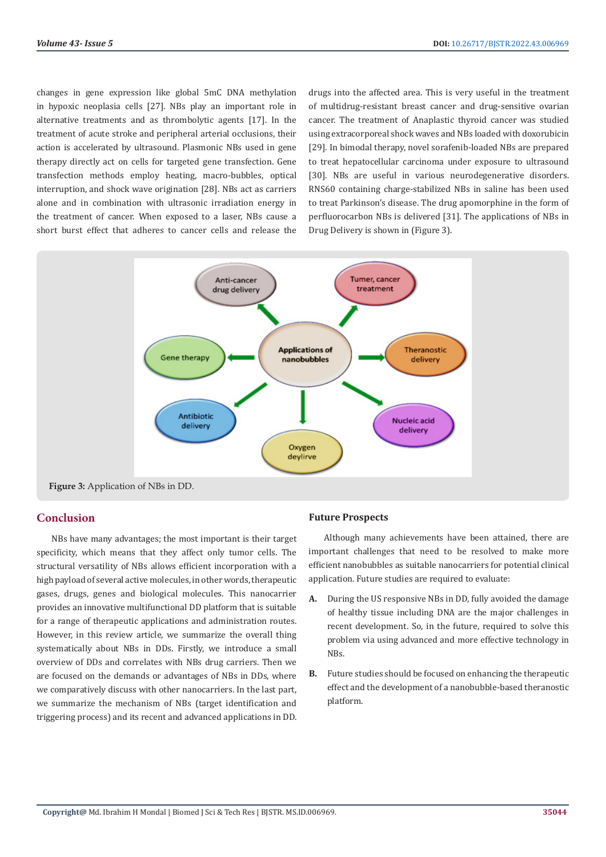changes in gene expression like global 5mC DNA methylation in hypoxic neoplasia cells [27]. NBs play an important role in alternative treatments and as thrombolytic agents [17]. In the treatment of acute stroke and peripheral arterial occlusions, their action is accelerated by ultrasound. Plasmonic NBs used in gene therapy directly act on cells for targeted gene transfection. Gene transfection methods employ heating, macro-bubbles, optical interruption, and shock wave origination [28]. NBs act as carriers alone and in combination with ultrasonic irradiation energy in the treatment of cancer. When exposed to a laser, NBs cause a short burst effect that adheres to cancer cells and release the

drugs into the affected area. This is very useful in the treatment of multidrug-resistant breast cancer and drug-sensitive ovarian cancer. The treatment of Anaplastic thyroid cancer was studied using extracorporeal shock waves and NBs loaded with doxorubicin [29]. In bimodal therapy, novel sorafenib-loaded NBs are prepared to treat hepatocellular carcinoma under exposure to ultrasound [30]. NBs are useful in various neurodegenerative disorders. RNS60 containing charge-stabilized NBs in saline has been used to treat Parkinson's disease. The drug apomorphine in the form of perfluorocarbon NBs is delivered [31]. The applications of NBs in Drug Delivery is shown in (Figure 3).



# **Conclusion**

NBs have many advantages; the most important is their target specificity, which means that they affect only tumor cells. The structural versatility of NBs allows efficient incorporation with a high payload of several active molecules, in other words, therapeutic gases, drugs, genes and biological molecules. This nanocarrier provides an innovative multifunctional DD platform that is suitable for a range of therapeutic applications and administration routes. However, in this review article, we summarize the overall thing systematically about NBs in DDs. Firstly, we introduce a small overview of DDs and correlates with NBs drug carriers. Then we are focused on the demands or advantages of NBs in DDs, where we comparatively discuss with other nanocarriers. In the last part, we summarize the mechanism of NBs (target identification and triggering process) and its recent and advanced applications in DD.

# **Future Prospects**

Although many achievements have been attained, there are important challenges that need to be resolved to make more efficient nanobubbles as suitable nanocarriers for potential clinical application. Future studies are required to evaluate:

- **A.** During the US responsive NBs in DD, fully avoided the damage of healthy tissue including DNA are the major challenges in recent development. So, in the future, required to solve this problem via using advanced and more effective technology in NBs.
- **B.** Future studies should be focused on enhancing the therapeutic effect and the development of a nanobubble-based theranostic platform.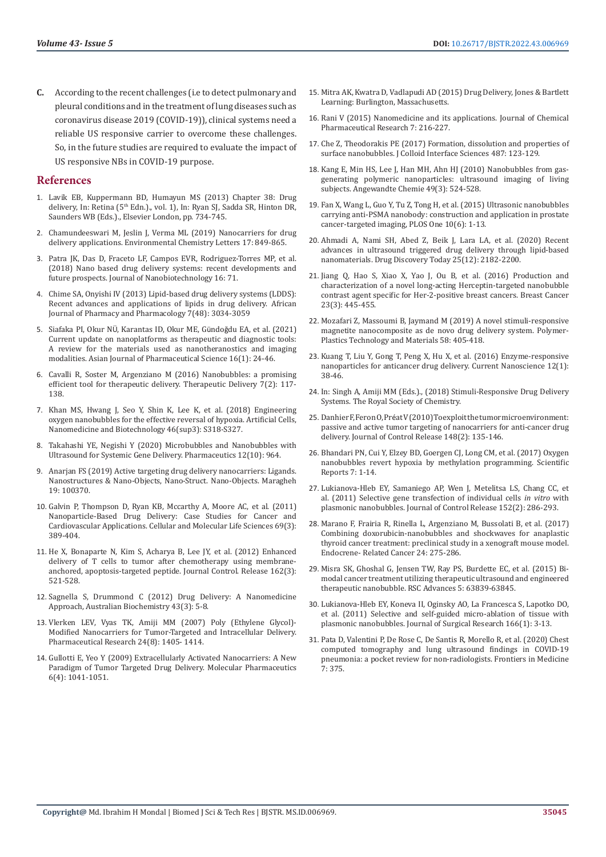**C.** According to the recent challenges (i.e to detect pulmonary and pleural conditions and in the treatment of lung diseases such as coronavirus disease 2019 (COVID-19)), clinical systems need a reliable US responsive carrier to overcome these challenges. So, in the future studies are required to evaluate the impact of US responsive NBs in COVID-19 purpose.

### **References**

- 1. Lavik EB, Kuppermann BD, Humayun MS (2013) Chapter 38: Drug delivery, In: Retina (5<sup>th</sup> Edn.)., vol. 1), In: Ryan SJ, Sadda SR, Hinton DR, Saunders WB (Eds.)., Elsevier London, pp. 734-745.
- 2. [Chamundeeswari M, Jeslin J, Verma ML \(2019\) Nanocarriers for drug](https://link.springer.com/article/10.1007/s10311-018-00841-1)  [delivery applications. Environmental Chemistry Letters 17: 849-865.](https://link.springer.com/article/10.1007/s10311-018-00841-1)
- 3. [Patra JK, Das D, Fraceto LF, Campos EVR, Rodriguez-Torres MP, et al.](https://jnanobiotechnology.biomedcentral.com/articles/10.1186/s12951-018-0392-8)  [\(2018\) Nano based drug delivery systems: recent developments and](https://jnanobiotechnology.biomedcentral.com/articles/10.1186/s12951-018-0392-8)  [future prospects. Journal of Nanobiotechnology 16: 71.](https://jnanobiotechnology.biomedcentral.com/articles/10.1186/s12951-018-0392-8)
- 4. [Chime SA, Onyishi IV \(2013\) Lipid-based drug delivery systems \(LDDS\):](https://academicjournals.org/journal/AJPP/article-abstract/8F6384E42625)  [Recent advances and applications of lipids in drug delivery. African](https://academicjournals.org/journal/AJPP/article-abstract/8F6384E42625)  [Journal of Pharmacy and Pharmacology 7\(48\): 3034-3059](https://academicjournals.org/journal/AJPP/article-abstract/8F6384E42625)
- 5. Siafaka PI, Okur NÜ[, Karantas ID, Okur ME, G](https://www.sciencedirect.com/science/article/pii/S1818087619315648)ündoğdu EA, et al. (2021) [Current update on nanoplatforms as therapeutic and diagnostic tools:](https://www.sciencedirect.com/science/article/pii/S1818087619315648)  [A review for the materials used as nanotheranostics and imaging](https://www.sciencedirect.com/science/article/pii/S1818087619315648)  [modalities. Asian Journal of Pharmaceutical Science 16\(1\): 24-46.](https://www.sciencedirect.com/science/article/pii/S1818087619315648)
- 6. [Cavalli R, Soster M, Argenziano M \(2016\) Nanobubbles: a promising](https://pubmed.ncbi.nlm.nih.gov/26769397/)  [efficient tool for therapeutic delivery. Therapeutic Delivery 7\(2\): 117-](https://pubmed.ncbi.nlm.nih.gov/26769397/) [138.](https://pubmed.ncbi.nlm.nih.gov/26769397/)
- 7. [Khan MS, Hwang J, Seo Y, Shin K, Lee K, et al. \(2018\) Engineering](https://pubmed.ncbi.nlm.nih.gov/30032670/)  [oxygen nanobubbles for the effective reversal of hypoxia. Artificial Cells,](https://pubmed.ncbi.nlm.nih.gov/30032670/)  [Nanomedicine and Biotechnology 46\(sup3\): S318-S327.](https://pubmed.ncbi.nlm.nih.gov/30032670/)
- 8. [Takahashi YE, Negishi Y \(2020\) Microbubbles and Nanobubbles with](https://www.ncbi.nlm.nih.gov/pmc/articles/PMC7602142/)  [Ultrasound for Systemic Gene Delivery. Pharmaceutics 12\(10\): 964.](https://www.ncbi.nlm.nih.gov/pmc/articles/PMC7602142/)
- 9. [Anarjan FS \(2019\) Active targeting drug delivery nanocarriers: Ligands.](https://www.sciencedirect.com/science/article/abs/pii/S2352507X19302926)  [Nanostructures & Nano-Objects, Nano-Struct. Nano-Objects. Maragheh](https://www.sciencedirect.com/science/article/abs/pii/S2352507X19302926)  [19: 100370.](https://www.sciencedirect.com/science/article/abs/pii/S2352507X19302926)
- 10. [Galvin P, Thompson D, Ryan KB, Mccarthy A, Moore AC, et al. \(2011\)](https://pubmed.ncbi.nlm.nih.gov/22015612/)  [Nanoparticle-Based Drug Delivery: Case Studies for Cancer and](https://pubmed.ncbi.nlm.nih.gov/22015612/)  [Cardiovascular Applications. Cellular and Molecular Life Sciences 69\(3\):](https://pubmed.ncbi.nlm.nih.gov/22015612/)  [389-404.](https://pubmed.ncbi.nlm.nih.gov/22015612/)
- 11. [He X, Bonaparte N, Kim S, Acharya B, Lee JY, et al. \(2012\) Enhanced](https://pubmed.ncbi.nlm.nih.gov/22824781/)  [delivery of T cells to tumor after chemotherapy using membrane](https://pubmed.ncbi.nlm.nih.gov/22824781/)[anchored, apoptosis-targeted peptide. Journal Control. Release 162\(3\):](https://pubmed.ncbi.nlm.nih.gov/22824781/)  [521-528.](https://pubmed.ncbi.nlm.nih.gov/22824781/)
- 12. [Sagnella S, Drummond C \(2012\) Drug Delivery: A Nanomedicine](https://www.asbmb.org.au/oldsite/magazine/2012-December_Issue43-3/Technical%20Feature%201%20-%20Drummond.pdf)  [Approach, Australian Biochemistry 43\(3\): 5-8.](https://www.asbmb.org.au/oldsite/magazine/2012-December_Issue43-3/Technical%20Feature%201%20-%20Drummond.pdf)
- 13. [Vlerken LEV, Vyas TK, Amiji MM \(2007\) Poly \(Ethylene Glycol\)-](https://pubmed.ncbi.nlm.nih.gov/17393074/) [Modified Nanocarriers for Tumor-Targeted and Intracellular Delivery.](https://pubmed.ncbi.nlm.nih.gov/17393074/)  [Pharmaceutical Research 24\(8\): 1405- 1414.](https://pubmed.ncbi.nlm.nih.gov/17393074/)
- 14. [Gullotti E, Yeo Y \(2009\) Extracellularly Activated Nanocarriers: A New](https://www.ncbi.nlm.nih.gov/pmc/articles/PMC2743941/)  [Paradigm of Tumor Targeted Drug Delivery. Molecular Pharmaceutics](https://www.ncbi.nlm.nih.gov/pmc/articles/PMC2743941/)  [6\(4\): 1041-1051.](https://www.ncbi.nlm.nih.gov/pmc/articles/PMC2743941/)
- 15. [Mitra AK, Kwatra D, Vadlapudi AD \(2015\) Drug Delivery, Jones & Bartlett](https://publish.jblearning.com/index.php?mod=jbbrowse&act=book_details&id=765) [Learning: Burlington, Massachusetts.](https://publish.jblearning.com/index.php?mod=jbbrowse&act=book_details&id=765)
- 16. Rani V (2015) Nanomedicine and its applications. Journal of Chemical Pharmaceutical Research 7: 216-227.
- 17. [Che Z, Theodorakis PE \(2017\) Formation, dissolution and properties of](https://www.sciencedirect.com/science/article/abs/pii/S0021979716307810) [surface nanobubbles. J Colloid Interface Sciences 487: 123-129.](https://www.sciencedirect.com/science/article/abs/pii/S0021979716307810)
- 18. [Kang E, Min HS, Lee J, Han MH, Ahn HJ \(2010\) Nanobubbles from gas](https://pubmed.ncbi.nlm.nih.gov/20013828/)[generating polymeric nanoparticles: ultrasound imaging of living](https://pubmed.ncbi.nlm.nih.gov/20013828/) [subjects. Angewandte Chemie 49\(3\): 524-528.](https://pubmed.ncbi.nlm.nih.gov/20013828/)
- 19. [Fan X, Wang L, Guo Y, Tu Z, Tong H, et al. \(2015\) Ultrasonic nanobubbles](https://pubmed.ncbi.nlm.nih.gov/26111008/) [carrying anti-PSMA nanobody: construction and application in prostate](https://pubmed.ncbi.nlm.nih.gov/26111008/) [cancer-targeted imaging, PLOS One 10\(6\): 1-13.](https://pubmed.ncbi.nlm.nih.gov/26111008/)
- 20. [Ahmadi A, Nami SH, Abed Z, Beik J, Lara LA, et al. \(2020\) Recent](https://www.sciencedirect.com/science/article/abs/pii/S1359644620303834) [advances in ultrasound triggered drug delivery through lipid-based](https://www.sciencedirect.com/science/article/abs/pii/S1359644620303834) [nanomaterials. Drug Discovery Today 25\(12\): 2182-2200.](https://www.sciencedirect.com/science/article/abs/pii/S1359644620303834)
- 21. [Jiang Q, Hao S, Xiao X, Yao J, Ou B, et al. \(2016\) Production and](https://pubmed.ncbi.nlm.nih.gov/25691133/) [characterization of a novel long-acting Herceptin-targeted nanobubble](https://pubmed.ncbi.nlm.nih.gov/25691133/) [contrast agent specific for Her-2-positive breast cancers. Breast Cancer](https://pubmed.ncbi.nlm.nih.gov/25691133/) [23\(3\): 445-455.](https://pubmed.ncbi.nlm.nih.gov/25691133/)
- 22. [Mozafari Z, Massoumi B, Jaymand M \(2019\) A novel stimuli-responsive](https://www.tandfonline.com/doi/abs/10.1080/03602559.2018.1471718?journalCode=lpte21) [magnetite nanocomposite as de novo drug delivery system. Polymer-](https://www.tandfonline.com/doi/abs/10.1080/03602559.2018.1471718?journalCode=lpte21)[Plastics Technology and Materials 58: 405-418.](https://www.tandfonline.com/doi/abs/10.1080/03602559.2018.1471718?journalCode=lpte21)
- 23. [Kuang T, Liu Y, Gong T, Peng X, Hu X, et al. \(2016\) Enzyme-responsive](http://www.eurekaselect.com/article/68271) [nanoparticles for anticancer drug delivery. Current Nanoscience 12\(1\):](http://www.eurekaselect.com/article/68271) [38-46.](http://www.eurekaselect.com/article/68271)
- 24. In: Singh A, Amiji MM (Eds.)., (2018) Stimuli-Responsive Drug Delivery Systems. The Royal Society of Chemistry.
- 25. Danhier F, Feron O, Pré[at V \(2010\) To exploit the tumor microenvironment:](https://www.sciencedirect.com/science/article/abs/pii/S0168365910007108) [passive and active tumor targeting of nanocarriers for anti-cancer drug](https://www.sciencedirect.com/science/article/abs/pii/S0168365910007108) [delivery. Journal of Control Release 148\(2\): 135-146.](https://www.sciencedirect.com/science/article/abs/pii/S0168365910007108)
- 26. [Bhandari PN, Cui Y, Elzey BD, Goergen CJ, Long CM, et al. \(2017\) Oxygen](https://www.nature.com/articles/s41598-017-08988-7) [nanobubbles revert hypoxia by methylation programming. Scientific](https://www.nature.com/articles/s41598-017-08988-7) [Reports 7: 1-14.](https://www.nature.com/articles/s41598-017-08988-7)
- 27. [Lukianova-Hleb EY, Samaniego AP, Wen J, Metelitsa LS, Chang CC, et](https://pubmed.ncbi.nlm.nih.gov/21315120/) [al. \(2011\) Selective gene transfection of individual cells](https://pubmed.ncbi.nlm.nih.gov/21315120/) *in vitro* with [plasmonic nanobubbles. Journal of Control Release 152\(2\): 286-293.](https://pubmed.ncbi.nlm.nih.gov/21315120/)
- 28. [Marano F, Frairia R, Rinella L, Argenziano M, Bussolati B, et al. \(2017\)](https://erc.bioscientifica.com/pdfviewer/full/journals/erc/24/6/275.xml?bg=GREY_COLOR_LIGHT_VARIANT&mgs=PRIMARY_COLOR&mge=PRIMART_COLOR_DARK_VARIANT) [Combining doxorubicin-nanobubbles and shockwaves for anaplastic](https://erc.bioscientifica.com/pdfviewer/full/journals/erc/24/6/275.xml?bg=GREY_COLOR_LIGHT_VARIANT&mgs=PRIMARY_COLOR&mge=PRIMART_COLOR_DARK_VARIANT) [thyroid cancer treatment: preclinical study in a xenograft mouse model.](https://erc.bioscientifica.com/pdfviewer/full/journals/erc/24/6/275.xml?bg=GREY_COLOR_LIGHT_VARIANT&mgs=PRIMARY_COLOR&mge=PRIMART_COLOR_DARK_VARIANT) [Endocrene- Related Cancer 24: 275-286.](https://erc.bioscientifica.com/pdfviewer/full/journals/erc/24/6/275.xml?bg=GREY_COLOR_LIGHT_VARIANT&mgs=PRIMARY_COLOR&mge=PRIMART_COLOR_DARK_VARIANT)
- 29. [Misra SK, Ghoshal G, Jensen TW, Ray PS, Burdette EC, et al. \(2015\) Bi](https://pubs.rsc.org/en/content/articlelanding/2015/ra/c5ra08977h)[modal cancer treatment utilizing therapeutic ultrasound and engineered](https://pubs.rsc.org/en/content/articlelanding/2015/ra/c5ra08977h) [therapeutic nanobubble. RSC Advances 5: 63839-63845.](https://pubs.rsc.org/en/content/articlelanding/2015/ra/c5ra08977h)
- 30. [Lukianova-Hleb EY, Koneva II, Oginsky AO, La Francesca S, Lapotko DO,](https://www.ncbi.nlm.nih.gov/pmc/articles/PMC3042052/) [et al. \(2011\) Selective and self-guided micro-ablation of tissue with](https://www.ncbi.nlm.nih.gov/pmc/articles/PMC3042052/) [plasmonic nanobubbles. Journal of Surgical Research 166\(1\): 3-13.](https://www.ncbi.nlm.nih.gov/pmc/articles/PMC3042052/)
- 31. [Pata D, Valentini P, De Rose C, De Santis R, Morello R, et al. \(2020\) Chest](https://www.ncbi.nlm.nih.gov/pmc/articles/PMC7332745/) [computed tomography and lung ultrasound findings in COVID-19](https://www.ncbi.nlm.nih.gov/pmc/articles/PMC7332745/) [pneumonia: a pocket review for non-radiologists. Frontiers in Medicine](https://www.ncbi.nlm.nih.gov/pmc/articles/PMC7332745/) [7: 375.](https://www.ncbi.nlm.nih.gov/pmc/articles/PMC7332745/)